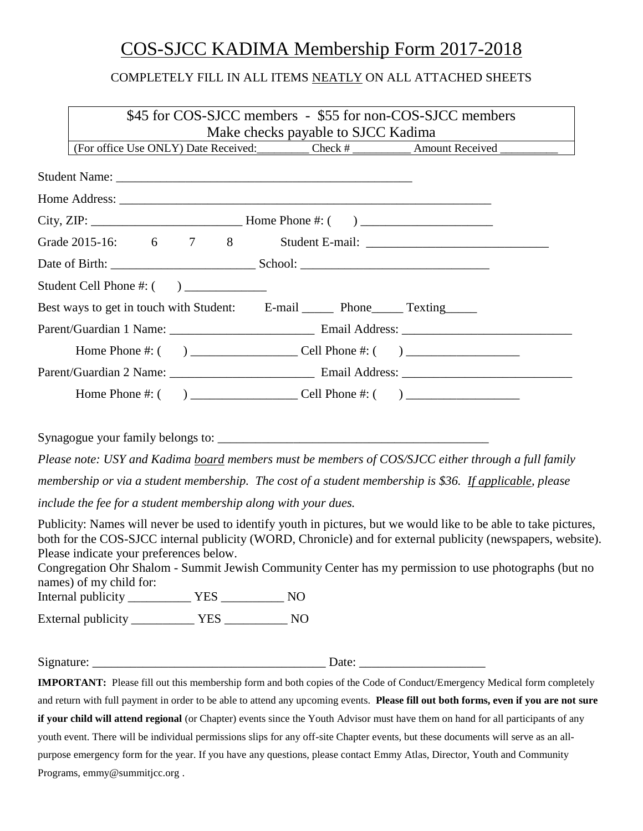# COS-SJCC KADIMA Membership Form 2017-2018

# COMPLETELY FILL IN ALL ITEMS NEATLY ON ALL ATTACHED SHEETS

| \$45 for COS-SJCC members - \$55 for non-COS-SJCC members                                                                                                                                                                                                                                                                                                                                                        |
|------------------------------------------------------------------------------------------------------------------------------------------------------------------------------------------------------------------------------------------------------------------------------------------------------------------------------------------------------------------------------------------------------------------|
| Make checks payable to SJCC Kadima<br>(For office Use ONLY) Date Received: Check # __________ Amount Received ________                                                                                                                                                                                                                                                                                           |
|                                                                                                                                                                                                                                                                                                                                                                                                                  |
|                                                                                                                                                                                                                                                                                                                                                                                                                  |
|                                                                                                                                                                                                                                                                                                                                                                                                                  |
| Grade 2015-16: 6 7 8                                                                                                                                                                                                                                                                                                                                                                                             |
|                                                                                                                                                                                                                                                                                                                                                                                                                  |
|                                                                                                                                                                                                                                                                                                                                                                                                                  |
| Best ways to get in touch with Student: E-mail _______ Phone______ Texting______                                                                                                                                                                                                                                                                                                                                 |
|                                                                                                                                                                                                                                                                                                                                                                                                                  |
|                                                                                                                                                                                                                                                                                                                                                                                                                  |
|                                                                                                                                                                                                                                                                                                                                                                                                                  |
|                                                                                                                                                                                                                                                                                                                                                                                                                  |
|                                                                                                                                                                                                                                                                                                                                                                                                                  |
|                                                                                                                                                                                                                                                                                                                                                                                                                  |
| Please note: USY and Kadima board members must be members of COS/SJCC either through a full family                                                                                                                                                                                                                                                                                                               |
| membership or via a student membership. The cost of a student membership is \$36. If applicable, please                                                                                                                                                                                                                                                                                                          |
| include the fee for a student membership along with your dues.                                                                                                                                                                                                                                                                                                                                                   |
| Publicity: Names will never be used to identify youth in pictures, but we would like to be able to take pictures,<br>both for the COS-SJCC internal publicity (WORD, Chronicle) and for external publicity (newspapers, website).<br>Please indicate your preferences below.<br>Congregation Ohr Shalom - Summit Jewish Community Center has my permission to use photographs (but no<br>names) of my child for: |
|                                                                                                                                                                                                                                                                                                                                                                                                                  |
|                                                                                                                                                                                                                                                                                                                                                                                                                  |
| Date: $\_\_$                                                                                                                                                                                                                                                                                                                                                                                                     |

**IMPORTANT:** Please fill out this membership form and both copies of the Code of Conduct/Emergency Medical form completely and return with full payment in order to be able to attend any upcoming events. **Please fill out both forms, even if you are not sure if your child will attend regional** (or Chapter) events since the Youth Advisor must have them on hand for all participants of any youth event. There will be individual permissions slips for any off-site Chapter events, but these documents will serve as an allpurpose emergency form for the year. If you have any questions, please contact Emmy Atlas, Director, Youth and Community Programs, emmy@summitjcc.org .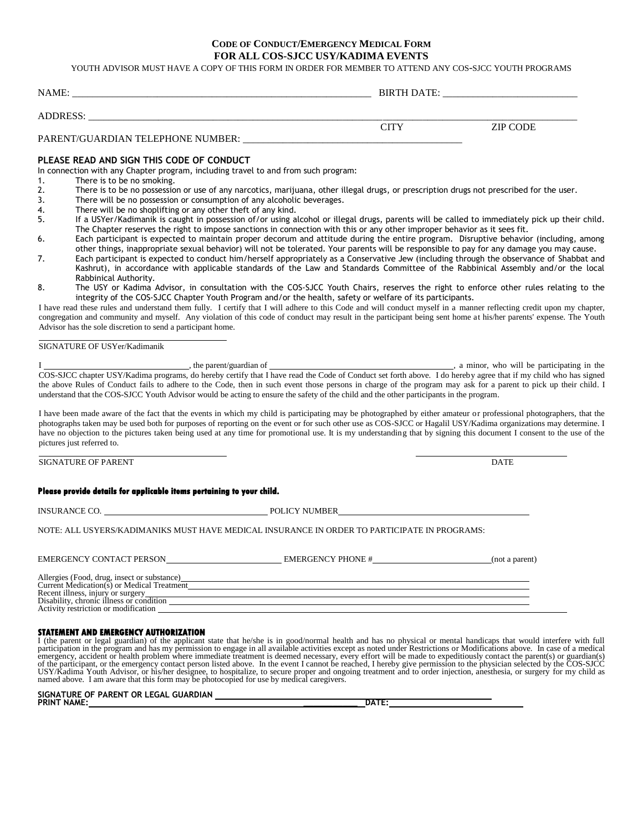# **CODE OF CONDUCT/EMERGENCY MEDICAL FORM FOR ALL COS-SJCC USY/KADIMA EVENTS**

YOUTH ADVISOR MUST HAVE A COPY OF THIS FORM IN ORDER FOR MEMBER TO ATTEND ANY COS-SJCC YOUTH PROGRAMS

| NAME:                             | <b>BIRTH DATE:</b> |          |
|-----------------------------------|--------------------|----------|
|                                   |                    |          |
| ADDRESS:                          |                    |          |
|                                   | CITY               | ZIP CODE |
| PARENT/GUARDIAN TELEPHONE NUMBER: |                    |          |

# **PLEASE READ AND SIGN THIS CODE OF CONDUCT**

In connection with any Chapter program, including travel to and from such program:

- 1. There is to be no smoking.
- 2. There is to be no possession or use of any narcotics, marijuana, other illegal drugs, or prescription drugs not prescribed for the user.
- 3. There will be no possession or consumption of any alcoholic beverages.
- 4. There will be no shoplifting or any other theft of any kind.<br>5. If a USYer/Kadimanik is caught in possession of/or using all
- If a USYer/Kadimanik is caught in possession of/or using alcohol or illegal drugs, parents will be called to immediately pick up their child. The Chapter reserves the right to impose sanctions in connection with this or any other improper behavior as it sees fit.
- 6. Each participant is expected to maintain proper decorum and attitude during the entire program. Disruptive behavior (including, among other things, inappropriate sexual behavior) will not be tolerated. Your parents will be responsible to pay for any damage you may cause.
- 7. Each participant is expected to conduct him/herself appropriately as a Conservative Jew (including through the observance of Shabbat and Kashrut), in accordance with applicable standards of the Law and Standards Committee of the Rabbinical Assembly and/or the local Rabbinical Authority.
- 8. The USY or Kadima Advisor, in consultation with the COS-SJCC Youth Chairs, reserves the right to enforce other rules relating to the integrity of the COS-SJCC Chapter Youth Program and/or the health, safety or welfare of its participants.

I have read these rules and understand them fully. I certify that I will adhere to this Code and will conduct myself in a manner reflecting credit upon my chapter, congregation and community and myself. Any violation of this code of conduct may result in the participant being sent home at his/her parents' expense. The Youth Advisor has the sole discretion to send a participant home.

SIGNATURE OF USYer/Kadimanik

I example 2 and the parent/guardian of  $\blacksquare$ , a minor, who will be participating in the COS-SJCC chapter USY/Kadima programs, do hereby certify that I have read the Code of Conduct set forth above. I do hereby agree that if my child who has signed the above Rules of Conduct fails to adhere to the Code, then in such event those persons in charge of the program may ask for a parent to pick up their child. I understand that the COS-SJCC Youth Advisor would be acting to ensure the safety of the child and the other participants in the program.

I have been made aware of the fact that the events in which my child is participating may be photographed by either amateur or professional photographers, that the photographs taken may be used both for purposes of reporting on the event or for such other use as COS-SJCC or Hagalil USY/Kadima organizations may determine. I have no objection to the pictures taken being used at any time for promotional use. It is my understanding that by signing this document I consent to the use of the pictures just referred to.

SIGNATURE OF PARENT DATE

# **Please provide details for applicable items pertaining to your child.**

INSURANCE CO. POLICY NUMBER

NOTE: ALL USYERS/KADIMANIKS MUST HAVE MEDICAL INSURANCE IN ORDER TO PARTICIPATE IN PROGRAMS:

| <b>EMERGENCY CONTACT PERSON</b>                                                                                                                                                                                    | <b>EMERGENCY PHONE #</b> | (not a parent) |
|--------------------------------------------------------------------------------------------------------------------------------------------------------------------------------------------------------------------|--------------------------|----------------|
| Allergies (Food, drug, insect or substance)<br>Current Medication(s) or Medical Treatment<br>Recent illness, injury or surgery<br>Disability, chronic illness or condition<br>Activity restriction or modification |                          |                |

# **STATEMENT AND EMERGENCY AUTHORIZATION**

I (the parent or legal guardian) of the applicant state that he/she is in good/normal health and has no physical or mental handicaps that would interfere with full participation in the program and has my permission to enga of the participant, or the emergency contact person listed above. In the event I cannot be reached, I hereby give permission to the physician selected by the COS-SJCC USY/Kadima Youth Advisor, or his/her designee, to hospitalize, to secure proper and ongoing treatment and to order injection, anesthesia, or surgery for my child as named above. I am aware that this form may be photocopied

**SIGNATURE OF PARENT OR LEGAL GUARDIAN PRINT NAME: \_\_\_\_\_\_\_\_\_\_\_ DATE:**